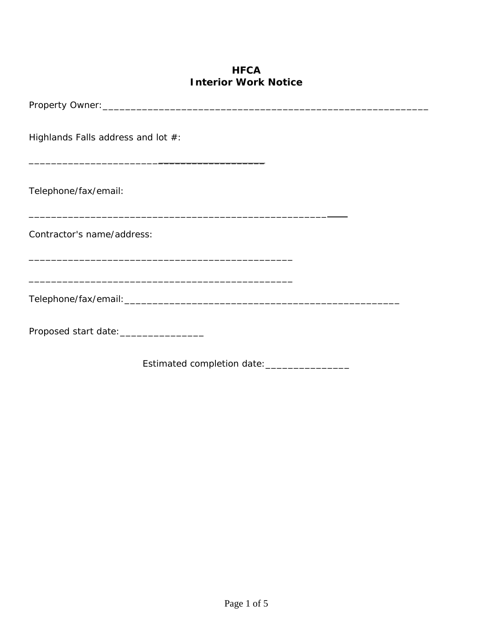## **HFCA Interior Work Notice**

| Highlands Falls address and lot #:                                            |  |
|-------------------------------------------------------------------------------|--|
| Telephone/fax/email:<br><u> 1990 - Johann Stoff, fransk politik (f. 1980)</u> |  |
| Contractor's name/address:                                                    |  |
|                                                                               |  |
|                                                                               |  |
| Proposed start date: ___________________                                      |  |
| Estimated completion date: _________________                                  |  |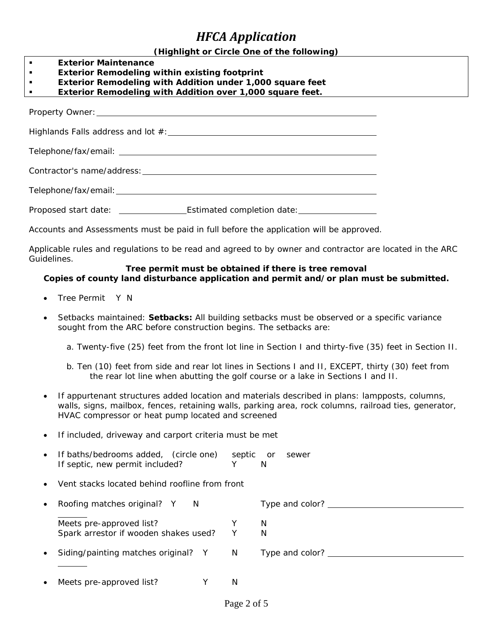# *HFCA Application*

#### **(Highlight or Circle One of the following)**

- **Exterior Maintenance**
- **Exterior Remodeling within existing footprint**
- **Exterior Remodeling with Addition under 1,000 square feet**
- **Exterior Remodeling with Addition over 1,000 square feet.**

Property Owner:

Highlands Falls address and lot  $#$ : example and the set of the set of the set of the set of the set of the set of the set of the set of the set of the set of the set of the set of the set of the set of the set of the set

Telephone/fax/email:

Contractor's name/address:

Telephone/fax/email:

Proposed start date: Estimated completion date:

Accounts and Assessments must be paid in full before the application will be approved.

Applicable rules and regulations to be read and agreed to by owner and contractor are located in the ARC Guidelines.

#### **Tree permit must be obtained if there is tree removal Copies of county land disturbance application and permit and/or plan must be submitted.**

- Tree Permit Y N
- Setbacks maintained: **Setbacks:** All building setbacks must be observed or a specific variance sought from the ARC before construction begins. The setbacks are:
	- a. Twenty-five (25) feet from the front lot line in Section I and thirty-five (35) feet in Section II.
	- b. Ten (10) feet from side and rear lot lines in Sections I and II, EXCEPT, thirty (30) feet from the rear lot line when abutting the golf course or a lake in Sections I and II.
- If appurtenant structures added location and materials described in plans: lampposts, columns, walls, signs, mailbox, fences, retaining walls, parking area, rock columns, railroad ties, generator, HVAC compressor or heat pump located and screened
- If included, driveway and carport criteria must be met
- If baths/bedrooms added, (circle one) septic or sewer If septic, new permit included? Y N Vent stacks located behind roofline from front Roofing matches original? Y N Type and color? \_\_\_\_\_\_\_\_\_\_\_\_\_\_\_\_\_\_\_\_\_\_\_\_\_\_\_\_\_\_\_\_\_\_ Meets pre-approved list? The Meets pre-approved list? Spark arrestor if wooden shakes used? Y N Siding/painting matches original? Y N Type and color? \_\_\_\_\_\_\_\_\_\_\_\_\_\_\_\_\_\_\_\_\_\_\_\_\_\_ Meets pre-approved list? Y N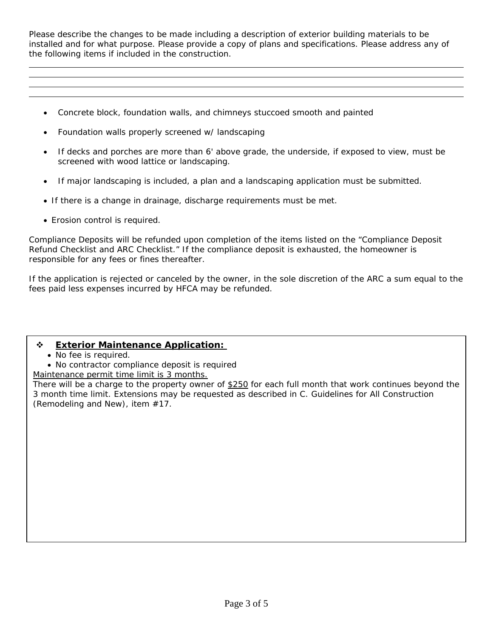Please describe the changes to be made including a description of exterior building materials to be installed and for what purpose. Please provide a copy of plans and specifications. Please address any of the following items if included in the construction.

- Concrete block, foundation walls, and chimneys stuccoed smooth and painted
- Foundation walls properly screened w/ landscaping
- If decks and porches are more than 6' above grade, the underside, if exposed to view, must be screened with wood lattice or landscaping.
- If major landscaping is included, a plan and a landscaping application must be submitted.
- If there is a change in drainage, discharge requirements must be met.
- Erosion control is required.

 $\overline{a}$ 

Compliance Deposits will be refunded upon completion of the items listed on the "Compliance Deposit Refund Checklist and ARC Checklist." If the compliance deposit is exhausted, the homeowner is responsible for any fees or fines thereafter.

If the application is rejected or canceled by the owner, in the sole discretion of the ARC a sum equal to the fees paid less expenses incurred by HFCA may be refunded.

## **Exterior Maintenance Application:**

- No fee is required.
- No contractor compliance deposit is required
- Maintenance permit time limit is 3 months.

There will be a charge to the property owner of \$250 for each full month that work continues beyond the 3 month time limit. Extensions may be requested as described in C. Guidelines for All Construction (Remodeling and New), item #17.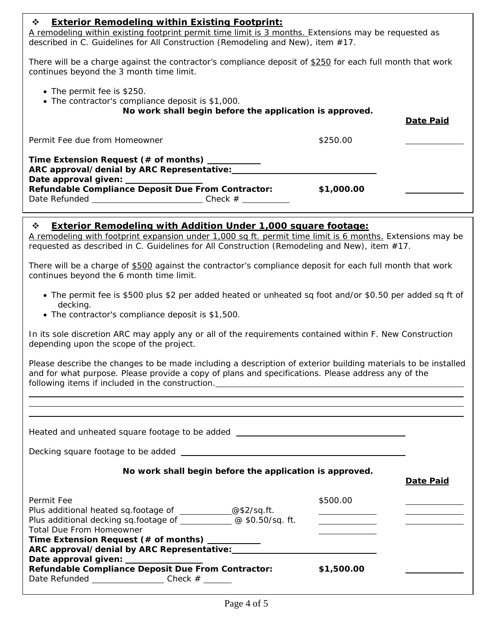#### **Exterior Remodeling within Existing Footprint:**

A remodeling within existing footprint permit time limit is 3 months. Extensions may be requested as described in C. Guidelines for All Construction (Remodeling and New), item #17.

There will be a charge against the contractor's compliance deposit of \$250 for each full month that work continues beyond the 3 month time limit.

- The permit fee is \$250.
- The contractor's compliance deposit is \$1,000.

**No work shall begin before the application is approved.** 

|                                                                                                                                                                                                                                   |            | <b>Date Paid</b> |
|-----------------------------------------------------------------------------------------------------------------------------------------------------------------------------------------------------------------------------------|------------|------------------|
| Permit Fee due from Homeowner                                                                                                                                                                                                     | \$250.00   |                  |
| Time Extension Request (# of months) __________<br>Date approval given: _______________<br>Refundable Compliance Deposit Due From Contractor:<br>Date Refunded ________________________________Check # __________________________ | \$1,000.00 |                  |

#### **Exterior Remodeling with Addition Under 1,000 square footage:**

A remodeling with footprint expansion under 1,000 sq ft. permit time limit is 6 months. Extensions may be requested as described in C. Guidelines for All Construction (Remodeling and New), item #17.

There will be a charge of \$500 against the contractor's compliance deposit for each full month that work continues beyond the 6 month time limit.

- The permit fee is \$500 plus \$2 per added heated or unheated sq foot and/or \$0.50 per added sq ft of decking.
- The contractor's compliance deposit is \$1,500.

In its sole discretion ARC may apply any or all of the requirements contained within F. New Construction depending upon the scope of the project.

Please describe the changes to be made including a description of exterior building materials to be installed and for what purpose. Please provide a copy of plans and specifications. Please address any of the following items if included in the construction.

| No work shall begin before the application is approved.                                                                                                                                                                          | Date Paid                                                             |
|----------------------------------------------------------------------------------------------------------------------------------------------------------------------------------------------------------------------------------|-----------------------------------------------------------------------|
| Permit Fee<br>Plus additional heated sq.footage of _________@\$2/sq.ft.<br>Plus additional decking sq.footage of ________________@ \$0.50/sq. ft.<br>Total Due From Homeowner<br>Time Extension Request (# of months) __________ | \$500.00<br><u> 1989 - Andrea Station Books, amerikansk politik (</u> |
| ARC approval/denial by ARC Representative:<br>Date approval given: 2000<br>Refundable Compliance Deposit Due From Contractor:<br>Date Refunded _______________________Check #                                                    | \$1,500.00                                                            |